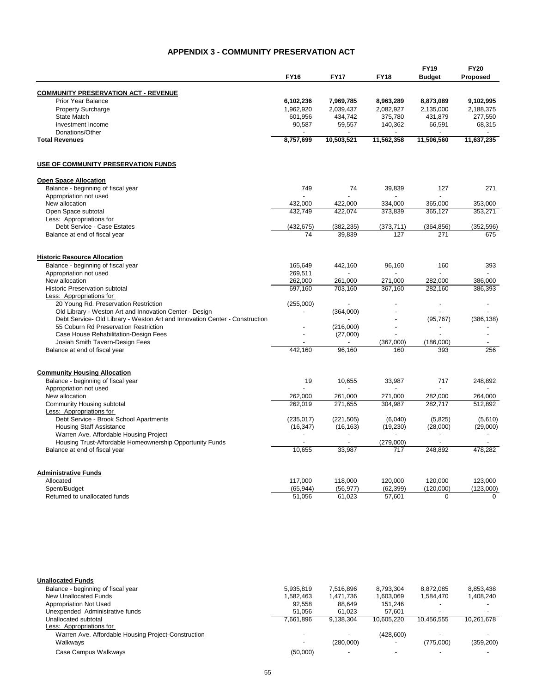## **APPENDIX 3 - COMMUNITY PRESERVATION ACT**

|                                                                             | <b>FY16</b> | <b>FY17</b> | <b>FY18</b>      | <b>FY19</b><br><b>Budget</b> | <b>FY20</b><br>Proposed |
|-----------------------------------------------------------------------------|-------------|-------------|------------------|------------------------------|-------------------------|
| <b>COMMUNITY PRESERVATION ACT - REVENUE</b>                                 |             |             |                  |                              |                         |
| Prior Year Balance                                                          | 6,102,236   | 7,969,785   | 8,963,289        | 8,873,089                    | 9,102,995               |
| <b>Property Surcharge</b>                                                   | 1,962,920   | 2,039,437   | 2,082,927        | 2,135,000                    | 2,188,375               |
| State Match                                                                 | 601,956     | 434,742     | 375,780          | 431,879                      | 277,550                 |
| Investment Income                                                           | 90,587      | 59,557      | 140,362          | 66,591                       | 68,315                  |
| Donations/Other                                                             |             |             |                  |                              |                         |
| <b>Total Revenues</b>                                                       | 8,757,699   | 10,503,521  | 11,562,358       | 11,506,560                   | 11,637,235              |
| USE OF COMMUNITY PRESERVATION FUNDS                                         |             |             |                  |                              |                         |
| <b>Open Space Allocation</b>                                                |             |             |                  |                              |                         |
| Balance - beginning of fiscal year                                          | 749         | 74          | 39,839           | 127                          | 271                     |
| Appropriation not used                                                      |             |             |                  |                              |                         |
| New allocation                                                              | 432,000     | 422,000     | 334,000          | 365,000                      | 353,000                 |
| Open Space subtotal                                                         | 432,749     | 422,074     | 373,839          | 365,127                      | 353,271                 |
| Less: Appropriations for<br>Debt Service - Case Estates                     | (432, 675)  | (382, 235)  | (373, 711)       | (364, 856)                   | (352, 596)              |
| Balance at end of fiscal year                                               | 74          | 39,839      | 127              | 271                          | 675                     |
| <b>Historic Resource Allocation</b>                                         |             |             |                  |                              |                         |
| Balance - beginning of fiscal year                                          | 165,649     | 442,160     | 96,160           | 160                          | 393                     |
| Appropriation not used                                                      | 269,511     |             |                  |                              |                         |
| New allocation                                                              | 262,000     | 261,000     | 271,000          | 282.000                      | 386,000                 |
| <b>Historic Preservation subtotal</b>                                       | 697,160     | 703,160     | 367.160          | 282,160                      | 386,393                 |
| Less: Appropriations for                                                    |             |             |                  |                              |                         |
| 20 Young Rd. Preservation Restriction                                       | (255,000)   |             |                  |                              |                         |
| Old Library - Weston Art and Innovation Center - Design                     |             | (364,000)   |                  |                              |                         |
| Debt Service- Old Library - Weston Art and Innovation Center - Construction |             |             |                  | (95, 767)                    | (386, 138)              |
| 55 Coburn Rd Preservation Restriction                                       |             | (216,000)   |                  |                              |                         |
| Case House Rehabilitation-Design Fees                                       |             | (27,000)    |                  |                              |                         |
| Josiah Smith Tavern-Design Fees                                             | 442,160     | 96,160      | (367,000)<br>160 | (186,000)<br>393             | 256                     |
| Balance at end of fiscal year                                               |             |             |                  |                              |                         |
| <b>Community Housing Allocation</b><br>Balance - beginning of fiscal year   | 19          | 10,655      | 33,987           | 717                          | 248,892                 |
| Appropriation not used                                                      |             |             |                  |                              |                         |
| New allocation                                                              | 262,000     | 261,000     | 271,000          | 282,000                      | 264,000                 |
| <b>Community Housing subtotal</b>                                           | 262.019     | 271,655     | 304,987          | 282,717                      | 512,892                 |
| Less: Appropriations for                                                    |             |             |                  |                              |                         |
| Debt Service - Brook School Apartments                                      | (235, 017)  | (221, 505)  | (6,040)          | (5,825)                      | (5,610)                 |
| <b>Housing Staff Assistance</b>                                             | (16, 347)   | (16, 163)   | (19, 230)        | (28,000)                     | (29,000)                |
| Warren Ave. Affordable Housing Project                                      |             |             |                  |                              |                         |
| Housing Trust-Affordable Homeownership Opportunity Funds                    |             |             | (279,000)        |                              |                         |
| Balance at end of fiscal year                                               | 10,655      | 33,987      | 717              | 248,892                      | 478.282                 |
| <b>Administrative Funds</b>                                                 |             |             |                  |                              |                         |
| Allocated                                                                   | 117,000     | 118,000     | 120,000          | 120,000                      | 123,000                 |
| Spent/Budget                                                                | (65, 944)   | (56, 977)   | (62, 399)        | (120,000)                    | (123,000)               |
| Returned to unallocated funds                                               | 51,056      | 61,023      | 57,601           | $\Omega$                     | $\Omega$                |
|                                                                             |             |             |                  |                              |                         |

| <b>Unallocated Funds</b>                            |           |           |            |            |            |
|-----------------------------------------------------|-----------|-----------|------------|------------|------------|
| Balance - beginning of fiscal year                  | 5.935.819 | 7.516.896 | 8.793.304  | 8.872.085  | 8,853,438  |
| New Unallocated Funds                               | 1.582.463 | 1,471,736 | 1.603.069  | 1.584.470  | 1,408,240  |
| Appropriation Not Used                              | 92.558    | 88.649    | 151.246    |            |            |
| Unexpended Administrative funds                     | 51.056    | 61.023    | 57.601     |            |            |
| Unallocated subtotal                                | 7.661.896 | 9.138.304 | 10.605.220 | 10.456.555 | 10,261,678 |
| Less: Appropriations for                            |           |           |            |            |            |
| Warren Ave. Affordable Housing Project-Construction |           |           | (428,600)  |            |            |
| Walkways                                            |           | (280,000) |            | (775.000)  | (359, 200) |
| Case Campus Walkways                                | (50,000)  |           |            |            |            |